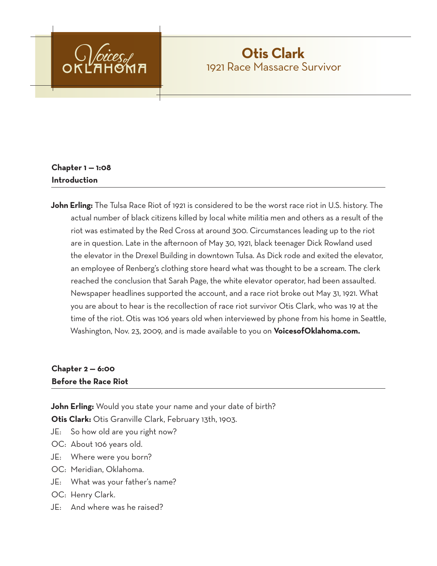

# **Otis Clark** 1921 Race Massacre Survivor

# **Chapter 1 — 1:08 Introduction**

**John Erling:** The Tulsa Race Riot of 1921 is considered to be the worst race riot in U.S. history. The actual number of black citizens killed by local white militia men and others as a result of the riot was estimated by the Red Cross at around 300. Circumstances leading up to the riot are in question. Late in the afternoon of May 30, 1921, black teenager Dick Rowland used the elevator in the Drexel Building in downtown Tulsa. As Dick rode and exited the elevator, an employee of Renberg's clothing store heard what was thought to be a scream. The clerk reached the conclusion that Sarah Page, the white elevator operator, had been assaulted. Newspaper headlines supported the account, and a race riot broke out May 31, 1921. What you are about to hear is the recollection of race riot survivor Otis Clark, who was 19 at the time of the riot. Otis was 106 years old when interviewed by phone from his home in Seattle, Washington, Nov. 23, 2009, and is made available to you on **VoicesofOklahoma.com.**

# **Chapter 2 — 6:00 Before the Race Riot**

**John Erling:** Would you state your name and your date of birth?

**Otis Clark:** Otis Granville Clark, February 13th, 1903.

- JE: So how old are you right now?
- OC: About 106 years old.
- JE: Where were you born?
- OC: Meridian, Oklahoma.
- JE: What was your father's name?
- OC: Henry Clark.
- JE: And where was he raised?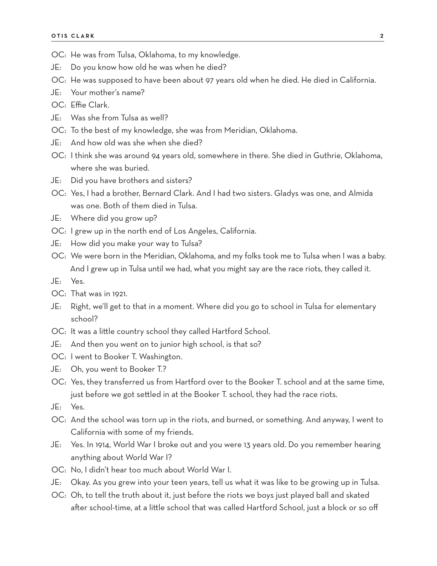- OC: He was from Tulsa, Oklahoma, to my knowledge.
- JE: Do you know how old he was when he died?
- OC: He was supposed to have been about 97 years old when he died. He died in California.
- JE: Your mother's name?
- OC: Effie Clark.
- JE: Was she from Tulsa as well?
- OC: To the best of my knowledge, she was from Meridian, Oklahoma.
- JE: And how old was she when she died?
- OC: I think she was around 94 years old, somewhere in there. She died in Guthrie, Oklahoma, where she was buried.
- JE: Did you have brothers and sisters?
- OC: Yes, I had a brother, Bernard Clark. And I had two sisters. Gladys was one, and Almida was one. Both of them died in Tulsa.
- JE: Where did you grow up?
- OC: I grew up in the north end of Los Angeles, California.
- JE: How did you make your way to Tulsa?
- OC: We were born in the Meridian, Oklahoma, and my folks took me to Tulsa when I was a baby. And I grew up in Tulsa until we had, what you might say are the race riots, they called it.
- JE: Yes.
- OC: That was in 1921.
- JE: Right, we'll get to that in a moment. Where did you go to school in Tulsa for elementary school?
- OC: It was a little country school they called Hartford School.
- JE: And then you went on to junior high school, is that so?
- OC: I went to Booker T. Washington.
- JE: Oh, you went to Booker T.?
- OC: Yes, they transferred us from Hartford over to the Booker T. school and at the same time, just before we got settled in at the Booker T. school, they had the race riots.
- JE: Yes.
- OC: And the school was torn up in the riots, and burned, or something. And anyway, I went to California with some of my friends.
- JE: Yes. In 1914, World War I broke out and you were 13 years old. Do you remember hearing anything about World War I?
- OC: No, I didn't hear too much about World War I.
- JE: Okay. As you grew into your teen years, tell us what it was like to be growing up in Tulsa.
- OC: Oh, to tell the truth about it, just before the riots we boys just played ball and skated after school-time, at a little school that was called Hartford School, just a block or so off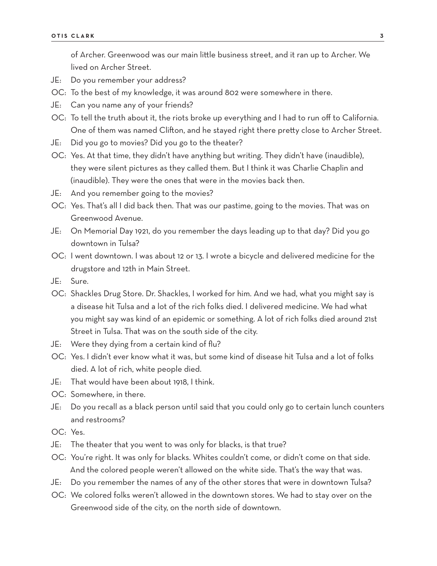of Archer. Greenwood was our main little business street, and it ran up to Archer. We lived on Archer Street.

- JE: Do you remember your address?
- OC: To the best of my knowledge, it was around 802 were somewhere in there.
- JE: Can you name any of your friends?
- OC: To tell the truth about it, the riots broke up everything and I had to run off to California. One of them was named Clifton, and he stayed right there pretty close to Archer Street.
- JE: Did you go to movies? Did you go to the theater?
- OC: Yes. At that time, they didn't have anything but writing. They didn't have (inaudible), they were silent pictures as they called them. But I think it was Charlie Chaplin and (inaudible). They were the ones that were in the movies back then.
- JE: And you remember going to the movies?
- OC: Yes. That's all I did back then. That was our pastime, going to the movies. That was on Greenwood Avenue.
- JE: On Memorial Day 1921, do you remember the days leading up to that day? Did you go downtown in Tulsa?
- OC: I went downtown. I was about 12 or 13. I wrote a bicycle and delivered medicine for the drugstore and 12th in Main Street.
- JE: Sure.
- OC: Shackles Drug Store. Dr. Shackles, I worked for him. And we had, what you might say is a disease hit Tulsa and a lot of the rich folks died. I delivered medicine. We had what you might say was kind of an epidemic or something. A lot of rich folks died around 21st Street in Tulsa. That was on the south side of the city.
- JE: Were they dying from a certain kind of flu?
- OC: Yes. I didn't ever know what it was, but some kind of disease hit Tulsa and a lot of folks died. A lot of rich, white people died.
- JE: That would have been about 1918, I think.
- OC: Somewhere, in there.
- JE: Do you recall as a black person until said that you could only go to certain lunch counters and restrooms?
- OC: Yes.
- JE: The theater that you went to was only for blacks, is that true?
- OC: You're right. It was only for blacks. Whites couldn't come, or didn't come on that side. And the colored people weren't allowed on the white side. That's the way that was.
- JE: Do you remember the names of any of the other stores that were in downtown Tulsa?
- OC: We colored folks weren't allowed in the downtown stores. We had to stay over on the Greenwood side of the city, on the north side of downtown.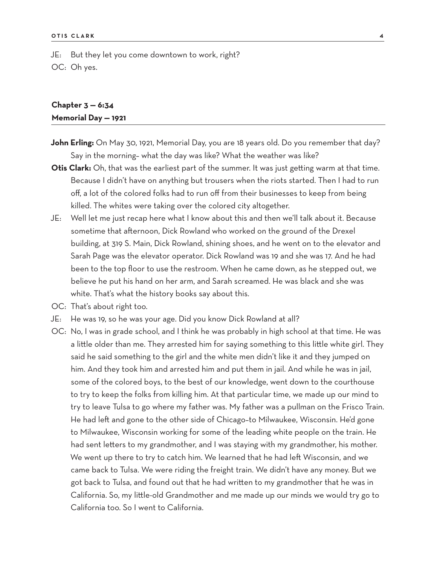JE: But they let you come downtown to work, right? OC: Oh yes.

### **Chapter 3 — 6:34 Memorial Day — 1921**

- John Erling: On May 30, 1921, Memorial Day, you are 18 years old. Do you remember that day? Say in the morning– what the day was like? What the weather was like?
- **Otis Clark:** Oh, that was the earliest part of the summer. It was just getting warm at that time. Because I didn't have on anything but trousers when the riots started. Then I had to run off, a lot of the colored folks had to run off from their businesses to keep from being killed. The whites were taking over the colored city altogether.
- JE: Well let me just recap here what I know about this and then we'll talk about it. Because sometime that afternoon, Dick Rowland who worked on the ground of the Drexel building, at 319 S. Main, Dick Rowland, shining shoes, and he went on to the elevator and Sarah Page was the elevator operator. Dick Rowland was 19 and she was 17. And he had been to the top floor to use the restroom. When he came down, as he stepped out, we believe he put his hand on her arm, and Sarah screamed. He was black and she was white. That's what the history books say about this.
- OC: That's about right too.
- JE: He was 19, so he was your age. Did you know Dick Rowland at all?
- OC: No, I was in grade school, and I think he was probably in high school at that time. He was a little older than me. They arrested him for saying something to this little white girl. They said he said something to the girl and the white men didn't like it and they jumped on him. And they took him and arrested him and put them in jail. And while he was in jail, some of the colored boys, to the best of our knowledge, went down to the courthouse to try to keep the folks from killing him. At that particular time, we made up our mind to try to leave Tulsa to go where my father was. My father was a pullman on the Frisco Train. He had left and gone to the other side of Chicago–to Milwaukee, Wisconsin. He'd gone to Milwaukee, Wisconsin working for some of the leading white people on the train. He had sent letters to my grandmother, and I was staying with my grandmother, his mother. We went up there to try to catch him. We learned that he had left Wisconsin, and we came back to Tulsa. We were riding the freight train. We didn't have any money. But we got back to Tulsa, and found out that he had written to my grandmother that he was in California. So, my little-old Grandmother and me made up our minds we would try go to California too. So I went to California.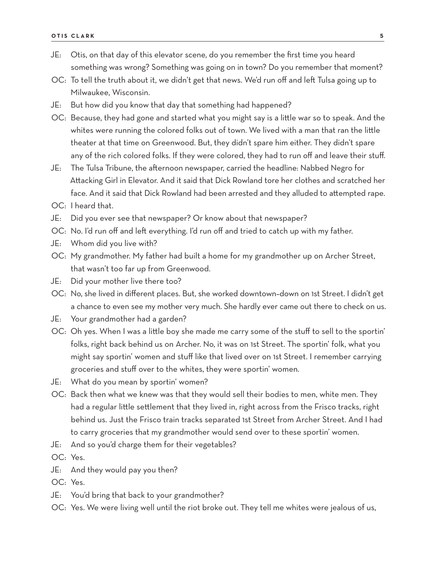- JE: Otis, on that day of this elevator scene, do you remember the first time you heard something was wrong? Something was going on in town? Do you remember that moment?
- OC: To tell the truth about it, we didn't get that news. We'd run off and left Tulsa going up to Milwaukee, Wisconsin.
- JE: But how did you know that day that something had happened?
- OC: Because, they had gone and started what you might say is a little war so to speak. And the whites were running the colored folks out of town. We lived with a man that ran the little theater at that time on Greenwood. But, they didn't spare him either. They didn't spare any of the rich colored folks. If they were colored, they had to run off and leave their stuff.
- JE: The Tulsa Tribune, the afternoon newspaper, carried the headline: Nabbed Negro for Attacking Girl in Elevator. And it said that Dick Rowland tore her clothes and scratched her face. And it said that Dick Rowland had been arrested and they alluded to attempted rape.
- OC: I heard that.
- JE: Did you ever see that newspaper? Or know about that newspaper?
- OC: No. I'd run off and left everything. I'd run off and tried to catch up with my father.
- JE: Whom did you live with?
- OC: My grandmother. My father had built a home for my grandmother up on Archer Street, that wasn't too far up from Greenwood.
- JE: Did your mother live there too?
- OC: No, she lived in different places. But, she worked downtown–down on 1st Street. I didn't get a chance to even see my mother very much. She hardly ever came out there to check on us.
- JE: Your grandmother had a garden?
- OC: Oh yes. When I was a little boy she made me carry some of the stuff to sell to the sportin' folks, right back behind us on Archer. No, it was on 1st Street. The sportin' folk, what you might say sportin' women and stuff like that lived over on 1st Street. I remember carrying groceries and stuff over to the whites, they were sportin' women.
- JE: What do you mean by sportin' women?
- OC: Back then what we knew was that they would sell their bodies to men, white men. They had a regular little settlement that they lived in, right across from the Frisco tracks, right behind us. Just the Frisco train tracks separated 1st Street from Archer Street. And I had to carry groceries that my grandmother would send over to these sportin' women.
- JE: And so you'd charge them for their vegetables?
- OC: Yes.
- JE: And they would pay you then?
- OC: Yes.
- JE: You'd bring that back to your grandmother?
- OC: Yes. We were living well until the riot broke out. They tell me whites were jealous of us,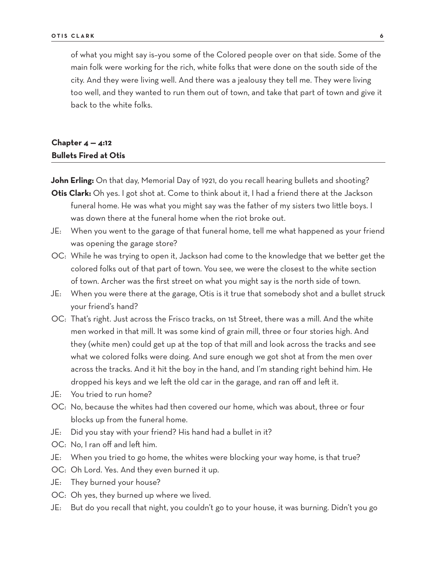of what you might say is–you some of the Colored people over on that side. Some of the main folk were working for the rich, white folks that were done on the south side of the city. And they were living well. And there was a jealousy they tell me. They were living too well, and they wanted to run them out of town, and take that part of town and give it back to the white folks.

### **Chapter 4 — 4:12 Bullets Fired at Otis**

John Erling: On that day, Memorial Day of 1921, do you recall hearing bullets and shooting?

**Otis Clark:** Oh yes. I got shot at. Come to think about it, I had a friend there at the Jackson funeral home. He was what you might say was the father of my sisters two little boys. I was down there at the funeral home when the riot broke out.

- JE: When you went to the garage of that funeral home, tell me what happened as your friend was opening the garage store?
- OC: While he was trying to open it, Jackson had come to the knowledge that we better get the colored folks out of that part of town. You see, we were the closest to the white section of town. Archer was the first street on what you might say is the north side of town.
- JE: When you were there at the garage, Otis is it true that somebody shot and a bullet struck your friend's hand?
- OC: That's right. Just across the Frisco tracks, on 1st Street, there was a mill. And the white men worked in that mill. It was some kind of grain mill, three or four stories high. And they (white men) could get up at the top of that mill and look across the tracks and see what we colored folks were doing. And sure enough we got shot at from the men over across the tracks. And it hit the boy in the hand, and I'm standing right behind him. He dropped his keys and we left the old car in the garage, and ran off and left it.
- JE: You tried to run home?
- OC: No, because the whites had then covered our home, which was about, three or four blocks up from the funeral home.
- JE: Did you stay with your friend? His hand had a bullet in it?
- OC: No, I ran off and left him.
- JE: When you tried to go home, the whites were blocking your way home, is that true?
- OC: Oh Lord. Yes. And they even burned it up.
- JE: They burned your house?
- OC: Oh yes, they burned up where we lived.
- JE: But do you recall that night, you couldn't go to your house, it was burning. Didn't you go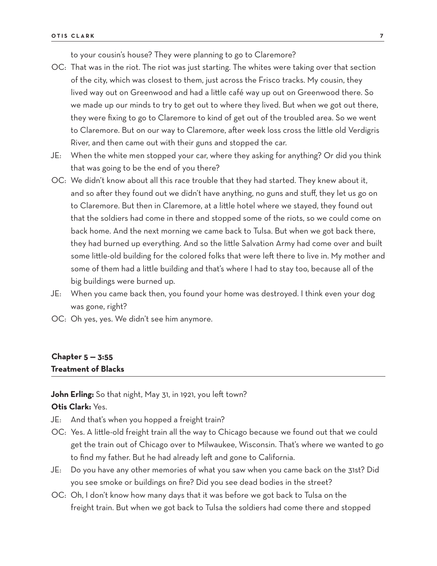to your cousin's house? They were planning to go to Claremore?

- OC: That was in the riot. The riot was just starting. The whites were taking over that section of the city, which was closest to them, just across the Frisco tracks. My cousin, they lived way out on Greenwood and had a little café way up out on Greenwood there. So we made up our minds to try to get out to where they lived. But when we got out there, they were fixing to go to Claremore to kind of get out of the troubled area. So we went to Claremore. But on our way to Claremore, after week loss cross the little old Verdigris River, and then came out with their guns and stopped the car.
- JE: When the white men stopped your car, where they asking for anything? Or did you think that was going to be the end of you there?
- OC: We didn't know about all this race trouble that they had started. They knew about it, and so after they found out we didn't have anything, no guns and stuff, they let us go on to Claremore. But then in Claremore, at a little hotel where we stayed, they found out that the soldiers had come in there and stopped some of the riots, so we could come on back home. And the next morning we came back to Tulsa. But when we got back there, they had burned up everything. And so the little Salvation Army had come over and built some little-old building for the colored folks that were left there to live in. My mother and some of them had a little building and that's where I had to stay too, because all of the big buildings were burned up.
- JE: When you came back then, you found your home was destroyed. I think even your dog was gone, right?
- OC: Oh yes, yes. We didn't see him anymore.

#### **Chapter 5 — 3:55 Treatment of Blacks**

**John Erling:** So that night, May 31, in 1921, you left town?

## **Otis Clark:** Yes.

- JE: And that's when you hopped a freight train?
- OC: Yes. A little-old freight train all the way to Chicago because we found out that we could get the train out of Chicago over to Milwaukee, Wisconsin. That's where we wanted to go to find my father. But he had already left and gone to California.
- JE: Do you have any other memories of what you saw when you came back on the 31st? Did you see smoke or buildings on fire? Did you see dead bodies in the street?
- OC: Oh, I don't know how many days that it was before we got back to Tulsa on the freight train. But when we got back to Tulsa the soldiers had come there and stopped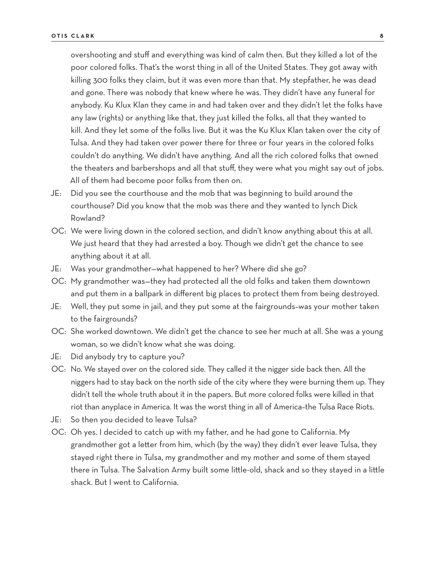overshooting and stuff and everything was kind of calm then. But they killed a lot of the poor colored folks. That's the worst thing in all of the United States. They got away with killing 300 folks they claim, but it was even more than that. My stepfather, he was dead and gone. There was nobody that knew where he was. They didn't have any funeral for anybody. Ku Klux Klan they came in and had taken over and they didn't let the folks have any law (rights) or anything like that, they just killed the folks, all that they wanted to kill. And they let some of the folks live. But it was the Ku Klux Klan taken over the city of Tulsa. And they had taken over power there for three or four years in the colored folks couldn't do anything. We didn't have anything. And all the rich colored folks that owned the theaters and barbershops and all that stuff, they were what you might say out of jobs. All of them had become poor folks from then on.

- JE: Did you see the courthouse and the mob that was beginning to build around the courthouse? Did you know that the mob was there and they wanted to lynch Dick Rowland?
- OC: We were living down in the colored section, and didn't know anything about this at all. We just heard that they had arrested a boy. Though we didn't get the chance to see anything about it at all.
- JE: Was your grandmother—what happened to her? Where did she go?
- OC: My grandmother was—they had protected all the old folks and taken them downtown and put them in a ballpark in different big places to protect them from being destroyed.
- JE: Well, they put some in jail, and they put some at the fairgrounds–was your mother taken to the fairgrounds?
- OC: She worked downtown. We didn't get the chance to see her much at all. She was a young woman, so we didn't know what she was doing.
- JE: Did anybody try to capture you?
- OC: No. We stayed over on the colored side. They called it the nigger side back then. All the niggers had to stay back on the north side of the city where they were burning them up. They didn't tell the whole truth about it in the papers. But more colored folks were killed in that riot than anyplace in America. It was the worst thing in all of America–the Tulsa Race Riots.
- JE: So then you decided to leave Tulsa?
- OC: Oh yes. I decided to catch up with my father, and he had gone to California. My grandmother got a letter from him, which (by the way) they didn't ever leave Tulsa, they stayed right there in Tulsa, my grandmother and my mother and some of them stayed there in Tulsa. The Salvation Army built some little-old, shack and so they stayed in a little shack. But I went to California.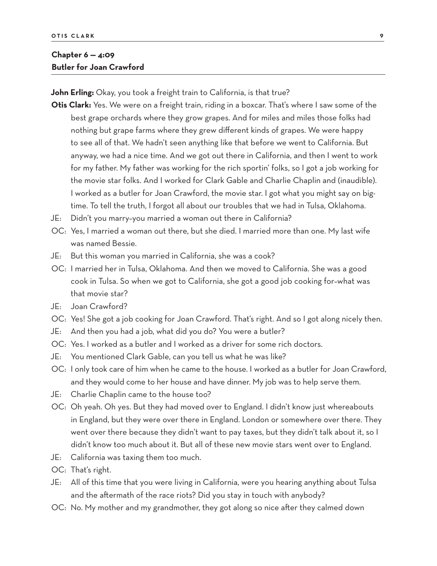### **Chapter 6 — 4:09 Butler for Joan Crawford**

**John Erling:** Okay, you took a freight train to California, is that true?

- **Otis Clark:** Yes. We were on a freight train, riding in a boxcar. That's where I saw some of the best grape orchards where they grow grapes. And for miles and miles those folks had nothing but grape farms where they grew different kinds of grapes. We were happy to see all of that. We hadn't seen anything like that before we went to California. But anyway, we had a nice time. And we got out there in California, and then I went to work for my father. My father was working for the rich sportin' folks, so I got a job working for the movie star folks. And I worked for Clark Gable and Charlie Chaplin and (inaudible). I worked as a butler for Joan Crawford, the movie star. I got what you might say on bigtime. To tell the truth, I forgot all about our troubles that we had in Tulsa, Oklahoma.
- JE: Didn't you marry–you married a woman out there in California?
- OC: Yes, I married a woman out there, but she died. I married more than one. My last wife was named Bessie.
- JE: But this woman you married in California, she was a cook?
- OC: I married her in Tulsa, Oklahoma. And then we moved to California. She was a good cook in Tulsa. So when we got to California, she got a good job cooking for–what was that movie star?
- JE: Joan Crawford?
- OC: Yes! She got a job cooking for Joan Crawford. That's right. And so I got along nicely then.
- JE: And then you had a job, what did you do? You were a butler?
- OC: Yes. I worked as a butler and I worked as a driver for some rich doctors.
- JE: You mentioned Clark Gable, can you tell us what he was like?
- OC: I only took care of him when he came to the house. I worked as a butler for Joan Crawford, and they would come to her house and have dinner. My job was to help serve them.
- JE: Charlie Chaplin came to the house too?
- OC: Oh yeah. Oh yes. But they had moved over to England. I didn't know just whereabouts in England, but they were over there in England. London or somewhere over there. They went over there because they didn't want to pay taxes, but they didn't talk about it, so I didn't know too much about it. But all of these new movie stars went over to England.
- JE: California was taxing them too much.
- OC: That's right.
- JE: All of this time that you were living in California, were you hearing anything about Tulsa and the aftermath of the race riots? Did you stay in touch with anybody?
- OC: No. My mother and my grandmother, they got along so nice after they calmed down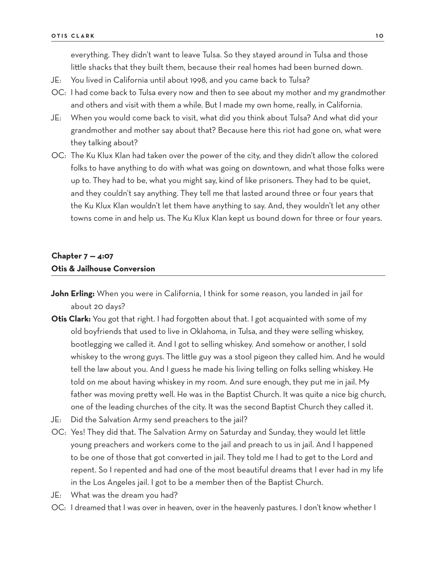everything. They didn't want to leave Tulsa. So they stayed around in Tulsa and those little shacks that they built them, because their real homes had been burned down.

- JE: You lived in California until about 1998, and you came back to Tulsa?
- OC: I had come back to Tulsa every now and then to see about my mother and my grandmother and others and visit with them a while. But I made my own home, really, in California.
- JE: When you would come back to visit, what did you think about Tulsa? And what did your grandmother and mother say about that? Because here this riot had gone on, what were they talking about?
- OC: The Ku Klux Klan had taken over the power of the city, and they didn't allow the colored folks to have anything to do with what was going on downtown, and what those folks were up to. They had to be, what you might say, kind of like prisoners. They had to be quiet, and they couldn't say anything. They tell me that lasted around three or four years that the Ku Klux Klan wouldn't let them have anything to say. And, they wouldn't let any other towns come in and help us. The Ku Klux Klan kept us bound down for three or four years.

#### **Chapter 7 — 4:07 Otis & Jailhouse Conversion**

- **John Erling:** When you were in California, I think for some reason, you landed in jail for about 20 days?
- **Otis Clark:** You got that right. I had forgotten about that. I got acquainted with some of my old boyfriends that used to live in Oklahoma, in Tulsa, and they were selling whiskey, bootlegging we called it. And I got to selling whiskey. And somehow or another, I sold whiskey to the wrong guys. The little guy was a stool pigeon they called him. And he would tell the law about you. And I guess he made his living telling on folks selling whiskey. He told on me about having whiskey in my room. And sure enough, they put me in jail. My father was moving pretty well. He was in the Baptist Church. It was quite a nice big church, one of the leading churches of the city. It was the second Baptist Church they called it.
- JE: Did the Salvation Army send preachers to the jail?
- OC: Yes! They did that. The Salvation Army on Saturday and Sunday, they would let little young preachers and workers come to the jail and preach to us in jail. And I happened to be one of those that got converted in jail. They told me I had to get to the Lord and repent. So I repented and had one of the most beautiful dreams that I ever had in my life in the Los Angeles jail. I got to be a member then of the Baptist Church.
- JE: What was the dream you had?
- OC: I dreamed that I was over in heaven, over in the heavenly pastures. I don't know whether I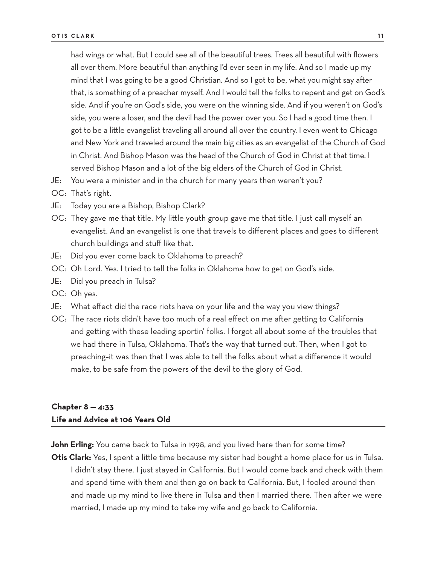had wings or what. But I could see all of the beautiful trees. Trees all beautiful with flowers all over them. More beautiful than anything I'd ever seen in my life. And so I made up my mind that I was going to be a good Christian. And so I got to be, what you might say after that, is something of a preacher myself. And I would tell the folks to repent and get on God's side. And if you're on God's side, you were on the winning side. And if you weren't on God's side, you were a loser, and the devil had the power over you. So I had a good time then. I got to be a little evangelist traveling all around all over the country. I even went to Chicago and New York and traveled around the main big cities as an evangelist of the Church of God in Christ. And Bishop Mason was the head of the Church of God in Christ at that time. I served Bishop Mason and a lot of the big elders of the Church of God in Christ.

- JE: You were a minister and in the church for many years then weren't you?
- OC: That's right.
- JE: Today you are a Bishop, Bishop Clark?
- OC: They gave me that title. My little youth group gave me that title. I just call myself an evangelist. And an evangelist is one that travels to different places and goes to different church buildings and stuff like that.
- JE: Did you ever come back to Oklahoma to preach?
- OC: Oh Lord. Yes. I tried to tell the folks in Oklahoma how to get on God's side.
- JE: Did you preach in Tulsa?
- OC: Oh yes.
- JE: What effect did the race riots have on your life and the way you view things?
- OC: The race riots didn't have too much of a real effect on me after getting to California and getting with these leading sportin' folks. I forgot all about some of the troubles that we had there in Tulsa, Oklahoma. That's the way that turned out. Then, when I got to preaching–it was then that I was able to tell the folks about what a difference it would make, to be safe from the powers of the devil to the glory of God.

## **Chapter 8 — 4:33 Life and Advice at 106 Years Old**

**John Erling:** You came back to Tulsa in 1998, and you lived here then for some time?

**Otis Clark:** Yes, I spent a little time because my sister had bought a home place for us in Tulsa. I didn't stay there. I just stayed in California. But I would come back and check with them and spend time with them and then go on back to California. But, I fooled around then and made up my mind to live there in Tulsa and then I married there. Then after we were married, I made up my mind to take my wife and go back to California.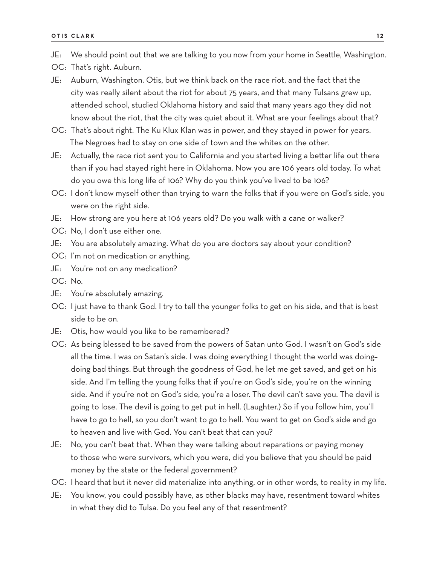- OC: That's right. Auburn.
- JE: Auburn, Washington. Otis, but we think back on the race riot, and the fact that the city was really silent about the riot for about 75 years, and that many Tulsans grew up, attended school, studied Oklahoma history and said that many years ago they did not know about the riot, that the city was quiet about it. What are your feelings about that?
- OC: That's about right. The Ku Klux Klan was in power, and they stayed in power for years. The Negroes had to stay on one side of town and the whites on the other.
- JE: Actually, the race riot sent you to California and you started living a better life out there than if you had stayed right here in Oklahoma. Now you are 106 years old today. To what do you owe this long life of 106? Why do you think you've lived to be 106?
- OC: I don't know myself other than trying to warn the folks that if you were on God's side, you were on the right side.
- JE: How strong are you here at 106 years old? Do you walk with a cane or walker?
- OC: No, I don't use either one.
- JE: You are absolutely amazing. What do you are doctors say about your condition?
- OC: I'm not on medication or anything.
- JE: You're not on any medication?
- OC: No.
- JE: You're absolutely amazing.
- OC: I just have to thank God. I try to tell the younger folks to get on his side, and that is best side to be on.
- JE: Otis, how would you like to be remembered?
- OC: As being blessed to be saved from the powers of Satan unto God. I wasn't on God's side all the time. I was on Satan's side. I was doing everything I thought the world was doing– doing bad things. But through the goodness of God, he let me get saved, and get on his side. And I'm telling the young folks that if you're on God's side, you're on the winning side. And if you're not on God's side, you're a loser. The devil can't save you. The devil is going to lose. The devil is going to get put in hell. (Laughter.) So if you follow him, you'll have to go to hell, so you don't want to go to hell. You want to get on God's side and go to heaven and live with God. You can't beat that can you?
- JE: No, you can't beat that. When they were talking about reparations or paying money to those who were survivors, which you were, did you believe that you should be paid money by the state or the federal government?
- OC: I heard that but it never did materialize into anything, or in other words, to reality in my life.
- JE: You know, you could possibly have, as other blacks may have, resentment toward whites in what they did to Tulsa. Do you feel any of that resentment?